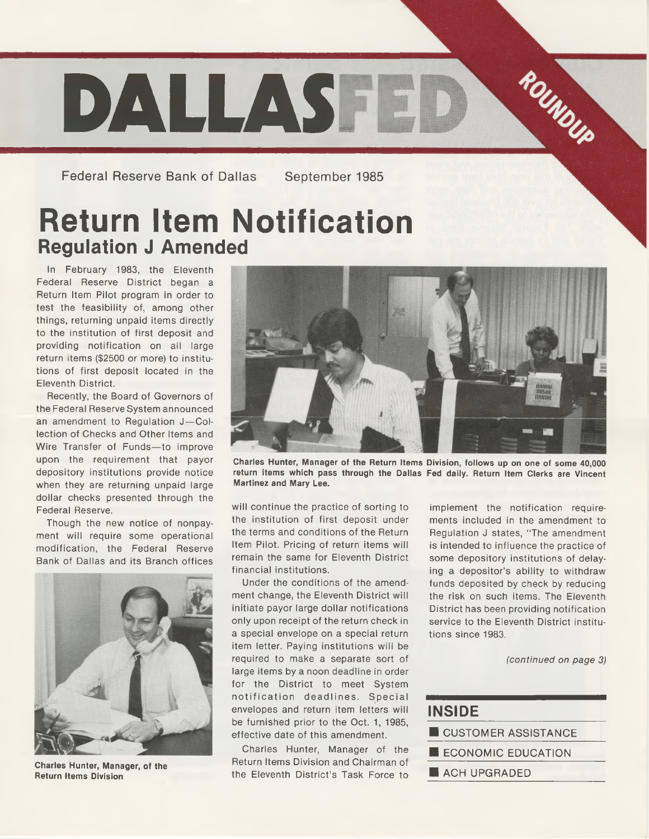

Federal Reserve Bank of Dallas September 1985

## **Return Item Notification Regulation J Amended**

In February 1983, the Eleventh Federal Reserve District began a Return Item Pilot program in order to test the feasibility of, among other things, returning unpaid items directly to the institution of first deposit and providing notification on all large return items (\$2500 or more) to institutions of first deposit located in the Eleventh District.

Recently, the Board of Governors of the Federal Reserve System announced an amendment to Regulation J-Collection of Checks and Other Items and Wire Transfer of Funds—to improve upon the requirement that payor depository institutions provide notice when they are returning unpaid large dollar checks presented through the Federal Reserve.

Though the new notice of nonpayment will require some operational modification, the Federal Reserve Bank of Dallas and its Branch offices



**Charles Hunter, Manager, of the Return Items Division**



**Charles Hunter, Manager of the Return Items Division, follows up on one of some 40,000 return items which pass through the Dallas Fed daily. Return Item Clerks are Vincent Martinez and Mary Lee.**

will continue the practice of sorting to the institution of first deposit under the terms and conditions of the Return Item Pilot. Pricing of return items will remain the same for Eleventh District financial institutions.

Under the conditions of the amendment change, the Eleventh District will initiate payor large dollar notifications only upon receipt of the return check in a special envelope on a special return item letter. Paying institutions will be required to make a separate sort of large items by a noon deadline in order for the District to meet System notification deadlines. Special envelopes and return item letters will be furnished prior to the Oct. 1, 1985, effective date of this amendment.

Charles Hunter, Manager of the Return Items Division and Chairman of the Eleventh District's Task Force to

implement the notification requirements included in the amendment to Regulation J states, " The amendment is intended to influence the practice of some depository institutions of delaying a depositor's ability to withdraw funds deposited by check by reducing the risk on such items. The Eleventh District has been providing notification service to the Eleventh District institutions since 1983.

*(continued on page 3)*

| <b>INSIDE</b>        |
|----------------------|
| CUSTOMER ASSISTANCE  |
| E ECONOMIC EDUCATION |
|                      |

■ ACH UPGRADED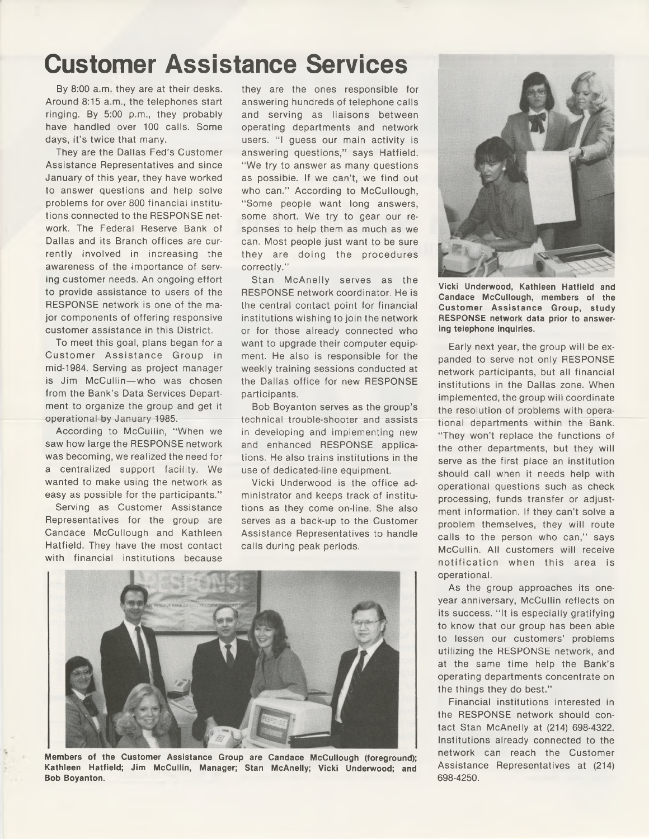## **Customer Assistance Services**

By 8:00 a.m. they are at their desks. Around 8:15 a.m., the telephones start ringing. By 5:00 p.m., they probably have handled over 100 calls. Some days, it's twice that many.

They are the Dallas Fed's Customer Assistance Representatives and since January of this year, they have worked to answer questions and help solve problems for over 800 financial institutions connected to the RESPONSE network. The Federal Reserve Bank of Dallas and its Branch offices are currently involved in increasing the awareness of the importance of serving customer needs. An ongoing effort to provide assistance to users of the RESPONSE network is one of the major components of offering responsive customer assistance in this District.

To meet this goal, plans began for a Customer Assistance Group in mid-1984. Serving as project manager is Jim McCullin—who was chosen from the Bank's Data Services Department to organize the group and get it operational by January 1985.

According to McCullin, "When we saw how large the RESPONSE network was becoming, we realized the need for a centralized support facility. We wanted to make using the network as easy as possible for the participants."

Serving as Customer Assistance Representatives for the group are Candace McCullough and Kathleen Hatfield. They have the most contact with financial institutions because

they are the ones responsible for answering hundreds of telephone calls and serving as liaisons between operating departments and network users. "I guess our main activity is answering questions," says Hatfield. "We try to answer as many questions as possible. If we can't, we find out who can." According to McCullough, " Some people want long answers, some short. We try to gear our responses to help them as much as we can. Most people just want to be sure they are doing the procedures correctly."

Stan McAnelly serves as the RESPONSE network coordinator. He is the central contact point for financial institutions wishing to join the network or for those already connected who want to upgrade their computer equipment. He also is responsible for the weekly training sessions conducted at the Dallas office for new RESPONSE participants.

Bob Boyanton serves as the group's technical trouble-shooter and assists in developing and implementing new and enhanced RESPONSE applications. He also trains institutions in the use of dedicated-line equipment.

Vicki Underwood is the office administrator and keeps track of institutions as they come on-line. She also serves as a back-up to the Customer Assistance Representatives to handle calls during peak periods.



**Members of the Customer Assistance Group are Candace McCullough (foreground); Kathleen Hatfield; Jim McCullin, Manager; Stan McAnelly; Vicki Underwood; and Bob Boyanton.**



**Vicki Underwood, Kathleen Hatfield and Candace McCullough, members of the Customer Assistance Group, study RESPONSE network data prior to answering telephone inquiries.**

Early next year, the group will be expanded to serve not only RESPONSE network participants, but all financial institutions in the Dallas zone. When implemented, the group will coordinate the resolution of problems with operational departments within the Bank. "They won't replace the functions of the other departments, but they will serve as the first place an institution should call when it needs help with operational questions such as check processing, funds transfer or adjustment information. If they can't solve a problem themselves, they will route calls to the person who can," says McCullin. All customers will receive notification when this area is operational.

As the group approaches its oneyear anniversary, McCullin reflects on its success. "It is especially gratifying to know that our group has been able to lessen our customers' problems utilizing the RESPONSE network, and at the same time help the Bank's operating departments concentrate on the things they do best."

Financial institutions interested in the RESPONSE network should contact Stan McAnelly at (214) 698-4322. Institutions already connected to the network can reach the Customer Assistance Representatives at (214) 698-4250.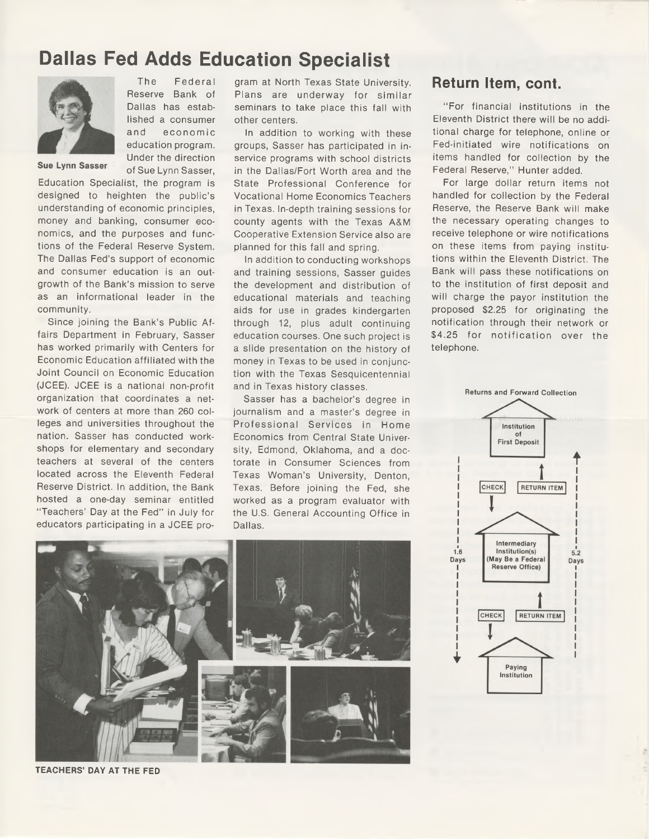## **Dallas Fed Adds Education Specialist**



The Federal Reserve Bank of Dallas has established a consumer and econom ic education program. Under the direction of Sue Lynn Sasser,

**Sue Lynn Sasser** 

Education Specialist, the program is designed to heighten the public's understanding of economic principles, money and banking, consumer economics, and the purposes and functions of the Federal Reserve System. The Dallas Fed's support of economic and consumer education is an outgrowth of the Bank's mission to serve as an informational leader in the community.

Since joining the Bank's Public Affairs Department in February, Sasser has worked primarily with Centers for Economic Education affiliated with the Joint Council on Economic Education (JCEE). JCEE is a national non-profit organization that coordinates a network of centers at more than 260 colleges and universities throughout the nation. Sasser has conducted workshops for elementary and secondary teachers at several of the centers located across the Eleventh Federal Reserve District. In addition, the Bank hosted a one-day seminar entitled "Teachers' Day at the Fed" in July for educators participating in a JCEE program at North Texas State University. Plans are underway for similar seminars to take place this fall with other centers.

In addition to working with these groups, Sasser has participated in inservice programs with school districts in the Dallas/Fort Worth area and the State Professional Conference for Vocational Home Economics Teachers in Texas. In-depth training sessions for county agents with the Texas A&M Cooperative Extension Service also are planned for this fall and spring.

In addition to conducting workshops and training sessions, Sasser guides the development and distribution of educational materials and teaching aids for use in grades kindergarten through 12, plus adult continuing education courses. One such project is a slide presentation on the history of money in Texas to be used in conjunction with the Texas Sesquicentennial and in Texas history classes.

Sasser has a bachelor's degree in journalism and a master's degree in Professional Services in Home Economics from Central State University, Edmond, Oklahoma, and a doctorate in Consumer Sciences from Texas Woman's University, Denton, Texas. Before joining the Fed, she worked as a program evaluator with the U.S. General Accounting Office in Dallas.

**Return Item, cent.**

" For financial institutions in the Eleventh District there will be no additional charge for telephone, online or Fed-initiated wire notifications on items handled for collection by the Federal Reserve," Hunter added.

For large dollar return items not handled for collection by the Federal Reserve, the Reserve Bank will make the necessary operating changes to receive telephone or wire notifications on these items from paying institutions within the Eleventh District. The Bank will pass these notifications on to the institution of first deposit and will charge the payor institution the proposed \$2.25 for originating the notification through their network or \$4.25 for notification over the telephone.





**TEACHERS' DAY AT THE FED**